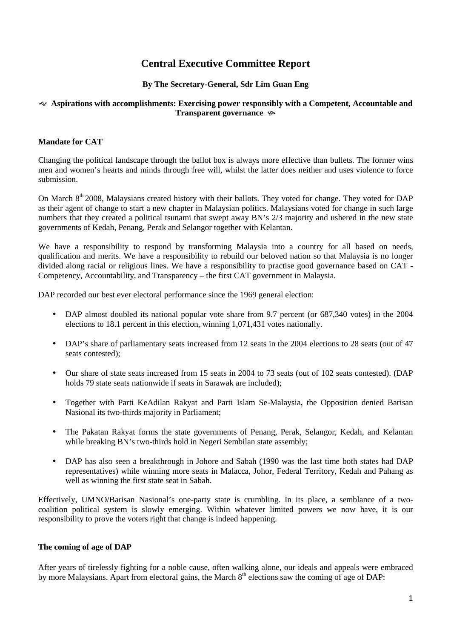# **Central Executive Committee Report**

# **By The Secretary-General, Sdr Lim Guan Eng**

#### **Aspirations with accomplishments: Exercising power responsibly with a Competent, Accountable and Transparent governance**  $\sim$

# **Mandate for CAT**

Changing the political landscape through the ballot box is always more effective than bullets. The former wins men and women's hearts and minds through free will, whilst the latter does neither and uses violence to force submission.

On March 8<sup>th</sup> 2008, Malaysians created history with their ballots. They voted for change. They voted for DAP as their agent of change to start a new chapter in Malaysian politics. Malaysians voted for change in such large numbers that they created a political tsunami that swept away BN's 2/3 majority and ushered in the new state governments of Kedah, Penang, Perak and Selangor together with Kelantan.

We have a responsibility to respond by transforming Malaysia into a country for all based on needs, qualification and merits. We have a responsibility to rebuild our beloved nation so that Malaysia is no longer divided along racial or religious lines. We have a responsibility to practise good governance based on CAT - Competency, Accountability, and Transparency – the first CAT government in Malaysia.

DAP recorded our best ever electoral performance since the 1969 general election:

- DAP almost doubled its national popular vote share from 9.7 percent (or 687,340 votes) in the 2004 elections to 18.1 percent in this election, winning 1,071,431 votes nationally.
- DAP's share of parliamentary seats increased from 12 seats in the 2004 elections to 28 seats (out of 47 seats contested);
- Our share of state seats increased from 15 seats in 2004 to 73 seats (out of 102 seats contested). (DAP holds 79 state seats nationwide if seats in Sarawak are included);
- Together with Parti KeAdilan Rakyat and Parti Islam Se-Malaysia, the Opposition denied Barisan Nasional its two-thirds majority in Parliament;
- The Pakatan Rakyat forms the state governments of Penang, Perak, Selangor, Kedah, and Kelantan while breaking BN's two-thirds hold in Negeri Sembilan state assembly;
- DAP has also seen a breakthrough in Johore and Sabah (1990 was the last time both states had DAP representatives) while winning more seats in Malacca, Johor, Federal Territory, Kedah and Pahang as well as winning the first state seat in Sabah.

Effectively, UMNO/Barisan Nasional's one-party state is crumbling. In its place, a semblance of a twocoalition political system is slowly emerging. Within whatever limited powers we now have, it is our responsibility to prove the voters right that change is indeed happening.

## **The coming of age of DAP**

After years of tirelessly fighting for a noble cause, often walking alone, our ideals and appeals were embraced by more Malaysians. Apart from electoral gains, the March 8<sup>th</sup> elections saw the coming of age of DAP: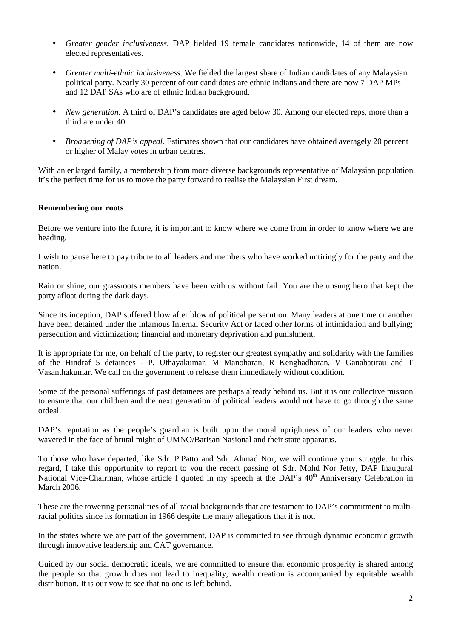- *Greater gender inclusiveness.* DAP fielded 19 female candidates nationwide, 14 of them are now elected representatives.
- *Greater multi-ethnic inclusiveness*. We fielded the largest share of Indian candidates of any Malaysian political party. Nearly 30 percent of our candidates are ethnic Indians and there are now 7 DAP MPs and 12 DAP SAs who are of ethnic Indian background.
- *New generation.* A third of DAP's candidates are aged below 30. Among our elected reps, more than a third are under 40.
- *Broadening of DAP's appeal.* Estimates shown that our candidates have obtained averagely 20 percent or higher of Malay votes in urban centres.

With an enlarged family, a membership from more diverse backgrounds representative of Malaysian population, it's the perfect time for us to move the party forward to realise the Malaysian First dream.

#### **Remembering our roots**

Before we venture into the future, it is important to know where we come from in order to know where we are heading.

I wish to pause here to pay tribute to all leaders and members who have worked untiringly for the party and the nation.

Rain or shine, our grassroots members have been with us without fail. You are the unsung hero that kept the party afloat during the dark days.

Since its inception, DAP suffered blow after blow of political persecution. Many leaders at one time or another have been detained under the infamous Internal Security Act or faced other forms of intimidation and bullying; persecution and victimization; financial and monetary deprivation and punishment.

It is appropriate for me, on behalf of the party, to register our greatest sympathy and solidarity with the families of the Hindraf 5 detainees - P. Uthayakumar, M Manoharan, R Kenghadharan, V Ganabatirau and T Vasanthakumar. We call on the government to release them immediately without condition.

Some of the personal sufferings of past detainees are perhaps already behind us. But it is our collective mission to ensure that our children and the next generation of political leaders would not have to go through the same ordeal.

DAP's reputation as the people's guardian is built upon the moral uprightness of our leaders who never wavered in the face of brutal might of UMNO/Barisan Nasional and their state apparatus.

To those who have departed, like Sdr. P.Patto and Sdr. Ahmad Nor, we will continue your struggle. In this regard, I take this opportunity to report to you the recent passing of Sdr. Mohd Nor Jetty, DAP Inaugural National Vice-Chairman, whose article I quoted in my speech at the DAP's 40<sup>th</sup> Anniversary Celebration in March 2006.

These are the towering personalities of all racial backgrounds that are testament to DAP's commitment to multiracial politics since its formation in 1966 despite the many allegations that it is not.

In the states where we are part of the government, DAP is committed to see through dynamic economic growth through innovative leadership and CAT governance.

Guided by our social democratic ideals, we are committed to ensure that economic prosperity is shared among the people so that growth does not lead to inequality, wealth creation is accompanied by equitable wealth distribution. It is our vow to see that no one is left behind.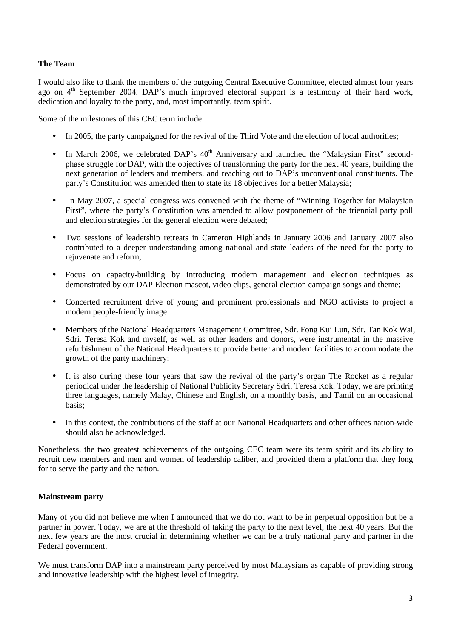## **The Team**

I would also like to thank the members of the outgoing Central Executive Committee, elected almost four years ago on 4<sup>th</sup> September 2004. DAP's much improved electoral support is a testimony of their hard work, dedication and loyalty to the party, and, most importantly, team spirit.

Some of the milestones of this CEC term include:

- In 2005, the party campaigned for the revival of the Third Vote and the election of local authorities;
- In March 2006, we celebrated DAP's  $40<sup>th</sup>$  Anniversary and launched the "Malaysian First" secondphase struggle for DAP, with the objectives of transforming the party for the next 40 years, building the next generation of leaders and members, and reaching out to DAP's unconventional constituents. The party's Constitution was amended then to state its 18 objectives for a better Malaysia;
- In May 2007, a special congress was convened with the theme of "Winning Together for Malaysian First", where the party's Constitution was amended to allow postponement of the triennial party poll and election strategies for the general election were debated;
- Two sessions of leadership retreats in Cameron Highlands in January 2006 and January 2007 also contributed to a deeper understanding among national and state leaders of the need for the party to rejuvenate and reform;
- Focus on capacity-building by introducing modern management and election techniques as demonstrated by our DAP Election mascot, video clips, general election campaign songs and theme;
- Concerted recruitment drive of young and prominent professionals and NGO activists to project a modern people-friendly image.
- Members of the National Headquarters Management Committee, Sdr. Fong Kui Lun, Sdr. Tan Kok Wai, Sdri. Teresa Kok and myself, as well as other leaders and donors, were instrumental in the massive refurbishment of the National Headquarters to provide better and modern facilities to accommodate the growth of the party machinery;
- It is also during these four years that saw the revival of the party's organ The Rocket as a regular periodical under the leadership of National Publicity Secretary Sdri. Teresa Kok. Today, we are printing three languages, namely Malay, Chinese and English, on a monthly basis, and Tamil on an occasional basis;
- In this context, the contributions of the staff at our National Headquarters and other offices nation-wide should also be acknowledged.

Nonetheless, the two greatest achievements of the outgoing CEC team were its team spirit and its ability to recruit new members and men and women of leadership caliber, and provided them a platform that they long for to serve the party and the nation.

## **Mainstream party**

Many of you did not believe me when I announced that we do not want to be in perpetual opposition but be a partner in power. Today, we are at the threshold of taking the party to the next level, the next 40 years. But the next few years are the most crucial in determining whether we can be a truly national party and partner in the Federal government.

We must transform DAP into a mainstream party perceived by most Malaysians as capable of providing strong and innovative leadership with the highest level of integrity.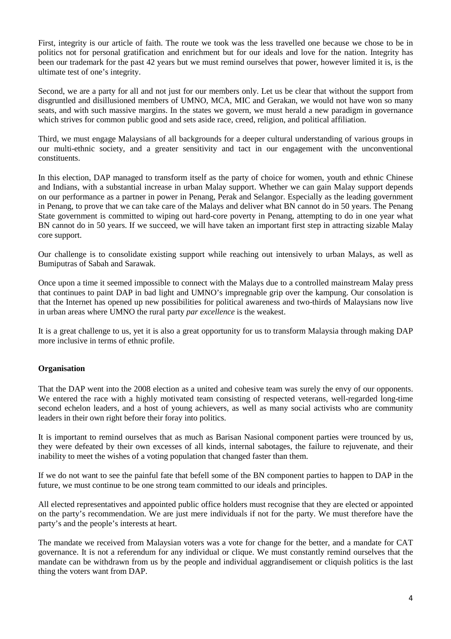First, integrity is our article of faith. The route we took was the less travelled one because we chose to be in politics not for personal gratification and enrichment but for our ideals and love for the nation. Integrity has been our trademark for the past 42 years but we must remind ourselves that power, however limited it is, is the ultimate test of one's integrity.

Second, we are a party for all and not just for our members only. Let us be clear that without the support from disgruntled and disillusioned members of UMNO, MCA, MIC and Gerakan, we would not have won so many seats, and with such massive margins. In the states we govern, we must herald a new paradigm in governance which strives for common public good and sets aside race, creed, religion, and political affiliation.

Third, we must engage Malaysians of all backgrounds for a deeper cultural understanding of various groups in our multi-ethnic society, and a greater sensitivity and tact in our engagement with the unconventional constituents.

In this election, DAP managed to transform itself as the party of choice for women, youth and ethnic Chinese and Indians, with a substantial increase in urban Malay support. Whether we can gain Malay support depends on our performance as a partner in power in Penang, Perak and Selangor. Especially as the leading government in Penang, to prove that we can take care of the Malays and deliver what BN cannot do in 50 years. The Penang State government is committed to wiping out hard-core poverty in Penang, attempting to do in one year what BN cannot do in 50 years. If we succeed, we will have taken an important first step in attracting sizable Malay core support.

Our challenge is to consolidate existing support while reaching out intensively to urban Malays, as well as Bumiputras of Sabah and Sarawak.

Once upon a time it seemed impossible to connect with the Malays due to a controlled mainstream Malay press that continues to paint DAP in bad light and UMNO's impregnable grip over the kampung. Our consolation is that the Internet has opened up new possibilities for political awareness and two-thirds of Malaysians now live in urban areas where UMNO the rural party *par excellence* is the weakest.

It is a great challenge to us, yet it is also a great opportunity for us to transform Malaysia through making DAP more inclusive in terms of ethnic profile.

## **Organisation**

That the DAP went into the 2008 election as a united and cohesive team was surely the envy of our opponents. We entered the race with a highly motivated team consisting of respected veterans, well-regarded long-time second echelon leaders, and a host of young achievers, as well as many social activists who are community leaders in their own right before their foray into politics.

It is important to remind ourselves that as much as Barisan Nasional component parties were trounced by us, they were defeated by their own excesses of all kinds, internal sabotages, the failure to rejuvenate, and their inability to meet the wishes of a voting population that changed faster than them.

If we do not want to see the painful fate that befell some of the BN component parties to happen to DAP in the future, we must continue to be one strong team committed to our ideals and principles.

All elected representatives and appointed public office holders must recognise that they are elected or appointed on the party's recommendation. We are just mere individuals if not for the party. We must therefore have the party's and the people's interests at heart.

The mandate we received from Malaysian voters was a vote for change for the better, and a mandate for CAT governance. It is not a referendum for any individual or clique. We must constantly remind ourselves that the mandate can be withdrawn from us by the people and individual aggrandisement or cliquish politics is the last thing the voters want from DAP.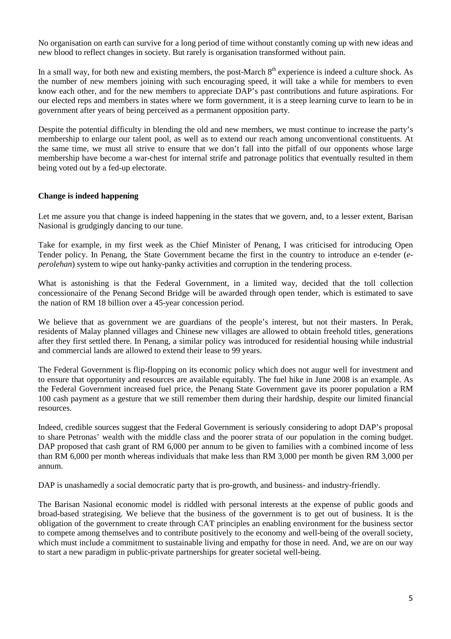No organisation on earth can survive for a long period of time without constantly coming up with new ideas and new blood to reflect changes in society. But rarely is organisation transformed without pain.

In a small way, for both new and existing members, the post-March  $8<sup>th</sup>$  experience is indeed a culture shock. As the number of new members joining with such encouraging speed, it will take a while for members to even know each other, and for the new members to appreciate DAP's past contributions and future aspirations. For our elected reps and members in states where we form government, it is a steep learning curve to learn to be in government after years of being perceived as a permanent opposition party.

Despite the potential difficulty in blending the old and new members, we must continue to increase the party's membership to enlarge our talent pool, as well as to extend our reach among unconventional constituents. At the same time, we must all strive to ensure that we don't fall into the pitfall of our opponents whose large membership have become a war-chest for internal strife and patronage politics that eventually resulted in them being voted out by a fed-up electorate.

#### **Change is indeed happening**

Let me assure you that change is indeed happening in the states that we govern, and, to a lesser extent, Barisan Nasional is grudgingly dancing to our tune.

Take for example, in my first week as the Chief Minister of Penang, I was criticised for introducing Open Tender policy. In Penang, the State Government became the first in the country to introduce an e-tender (*eperolehan*) system to wipe out hanky-panky activities and corruption in the tendering process.

What is astonishing is that the Federal Government, in a limited way, decided that the toll collection concessionaire of the Penang Second Bridge will be awarded through open tender, which is estimated to save the nation of RM 18 billion over a 45-year concession period.

We believe that as government we are guardians of the people's interest, but not their masters. In Perak, residents of Malay planned villages and Chinese new villages are allowed to obtain freehold titles, generations after they first settled there. In Penang, a similar policy was introduced for residential housing while industrial and commercial lands are allowed to extend their lease to 99 years.

The Federal Government is flip-flopping on its economic policy which does not augur well for investment and to ensure that opportunity and resources are available equitably. The fuel hike in June 2008 is an example. As the Federal Government increased fuel price, the Penang State Government gave its poorer population a RM 100 cash payment as a gesture that we still remember them during their hardship, despite our limited financial resources.

Indeed, credible sources suggest that the Federal Government is seriously considering to adopt DAP's proposal to share Petronas' wealth with the middle class and the poorer strata of our population in the coming budget. DAP proposed that cash grant of RM 6,000 per annum to be given to families with a combined income of less than RM 6,000 per month whereas individuals that make less than RM 3,000 per month be given RM 3,000 per annum.

DAP is unashamedly a social democratic party that is pro-growth, and business- and industry-friendly.

The Barisan Nasional economic model is riddled with personal interests at the expense of public goods and broad-based strategising. We believe that the business of the government is to get out of business. It is the obligation of the government to create through CAT principles an enabling environment for the business sector to compete among themselves and to contribute positively to the economy and well-being of the overall society, which must include a commitment to sustainable living and empathy for those in need. And, we are on our way to start a new paradigm in public-private partnerships for greater societal well-being.